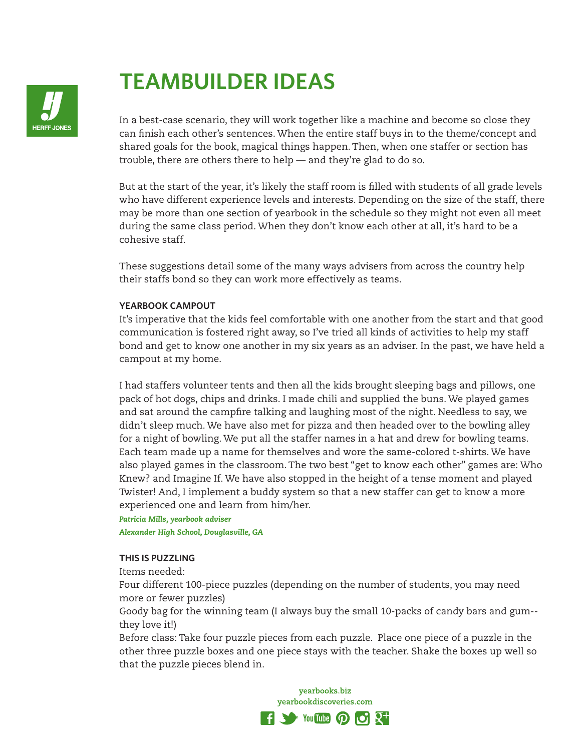

# **TEAMBUILDER IDEAS**

In a best-case scenario, they will work together like a machine and become so close they can finish each other's sentences. When the entire staff buys in to the theme/concept and shared goals for the book, magical things happen. Then, when one staffer or section has trouble, there are others there to help — and they're glad to do so.

But at the start of the year, it's likely the staff room is filled with students of all grade levels who have different experience levels and interests. Depending on the size of the staff, there may be more than one section of yearbook in the schedule so they might not even all meet during the same class period. When they don't know each other at all, it's hard to be a cohesive staff.

These suggestions detail some of the many ways advisers from across the country help their staffs bond so they can work more effectively as teams.

# **YEARBOOK CAMPOUT**

It's imperative that the kids feel comfortable with one another from the start and that good communication is fostered right away, so I've tried all kinds of activities to help my staff bond and get to know one another in my six years as an adviser. In the past, we have held a campout at my home.

I had staffers volunteer tents and then all the kids brought sleeping bags and pillows, one pack of hot dogs, chips and drinks. I made chili and supplied the buns. We played games and sat around the campfire talking and laughing most of the night. Needless to say, we didn't sleep much. We have also met for pizza and then headed over to the bowling alley for a night of bowling. We put all the staffer names in a hat and drew for bowling teams. Each team made up a name for themselves and wore the same-colored t-shirts. We have also played games in the classroom. The two best "get to know each other" games are: Who Knew? and Imagine If. We have also stopped in the height of a tense moment and played Twister! And, I implement a buddy system so that a new staffer can get to know a more experienced one and learn from him/her.

*Patricia Mills, yearbook adviser Alexander High School, Douglasville, GA*

#### **THIS IS PUZZLING**

Items needed:

Four different 100-piece puzzles (depending on the number of students, you may need more or fewer puzzles)

Goody bag for the winning team (I always buy the small 10-packs of candy bars and gum- they love it!)

Before class: Take four puzzle pieces from each puzzle. Place one piece of a puzzle in the other three puzzle boxes and one piece stays with the teacher. Shake the boxes up well so that the puzzle pieces blend in.

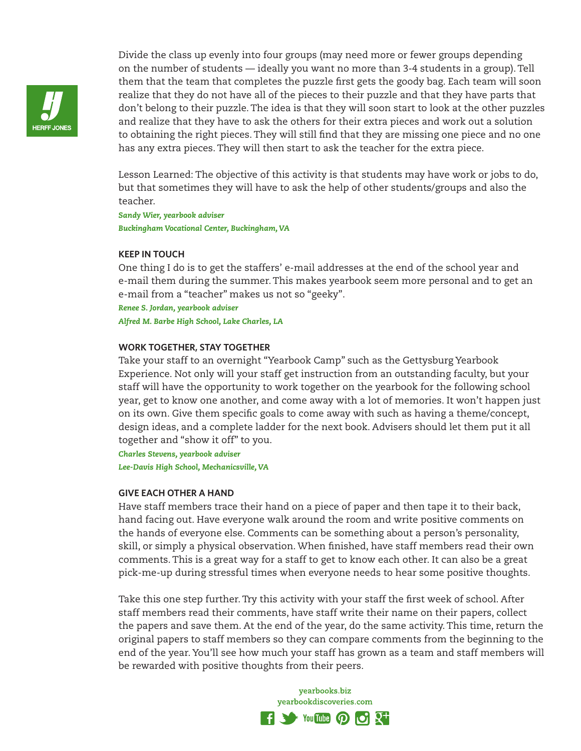

Divide the class up evenly into four groups (may need more or fewer groups depending on the number of students — ideally you want no more than 3-4 students in a group). Tell them that the team that completes the puzzle first gets the goody bag. Each team will soon realize that they do not have all of the pieces to their puzzle and that they have parts that don't belong to their puzzle. The idea is that they will soon start to look at the other puzzles and realize that they have to ask the others for their extra pieces and work out a solution to obtaining the right pieces. They will still find that they are missing one piece and no one has any extra pieces. They will then start to ask the teacher for the extra piece.

Lesson Learned: The objective of this activity is that students may have work or jobs to do, but that sometimes they will have to ask the help of other students/groups and also the teacher.

*Sandy Wier, yearbook adviser Buckingham Vocational Center, Buckingham, VA*

# **KEEP IN TOUCH**

One thing I do is to get the staffers' e-mail addresses at the end of the school year and e-mail them during the summer. This makes yearbook seem more personal and to get an e-mail from a "teacher" makes us not so "geeky".

*Renee S. Jordan, yearbook adviser Alfred M. Barbe High School, Lake Charles, LA*

# **WORK TOGETHER, STAY TOGETHER**

Take your staff to an overnight "Yearbook Camp" such as the Gettysburg Yearbook Experience. Not only will your staff get instruction from an outstanding faculty, but your staff will have the opportunity to work together on the yearbook for the following school year, get to know one another, and come away with a lot of memories. It won't happen just on its own. Give them specific goals to come away with such as having a theme/concept, design ideas, and a complete ladder for the next book. Advisers should let them put it all together and "show it off" to you.

*Charles Stevens, yearbook adviser*

*Lee-Davis High School, Mechanicsville, VA*

#### **GIVE EACH OTHER A HAND**

Have staff members trace their hand on a piece of paper and then tape it to their back, hand facing out. Have everyone walk around the room and write positive comments on the hands of everyone else. Comments can be something about a person's personality, skill, or simply a physical observation. When finished, have staff members read their own comments. This is a great way for a staff to get to know each other. It can also be a great pick-me-up during stressful times when everyone needs to hear some positive thoughts.

Take this one step further. Try this activity with your staff the first week of school. After staff members read their comments, have staff write their name on their papers, collect the papers and save them. At the end of the year, do the same activity. This time, return the original papers to staff members so they can compare comments from the beginning to the end of the year. You'll see how much your staff has grown as a team and staff members will be rewarded with positive thoughts from their peers.